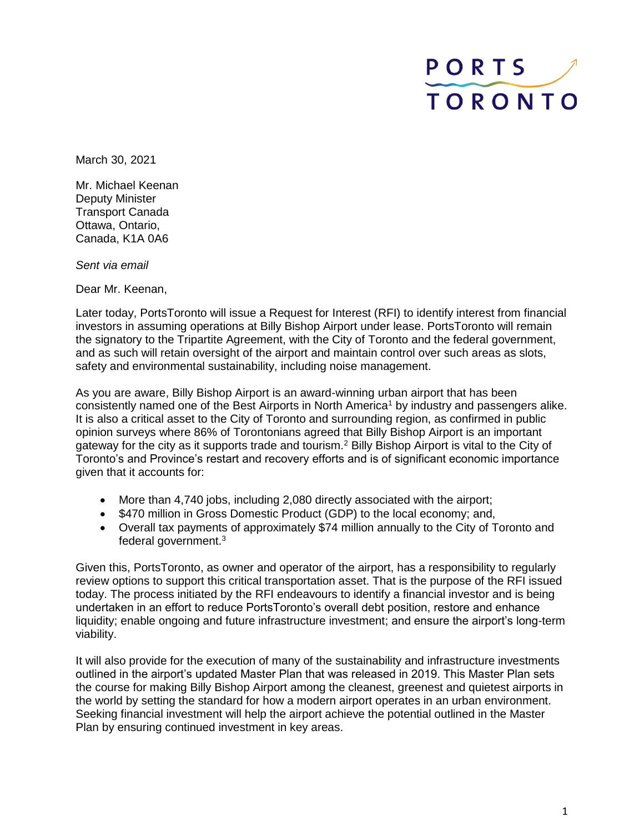## PORTS **TORONTO**

March 30, 2021

Mr. Michael Keenan Deputy Minister Transport Canada Ottawa, Ontario, Canada, K1A 0A6

*Sent via email*

Dear Mr. Keenan,

Later today, PortsToronto will issue a Request for Interest (RFI) to identify interest from financial investors in assuming operations at Billy Bishop Airport under lease. PortsToronto will remain the signatory to the Tripartite Agreement, with the City of Toronto and the federal government, and as such will retain oversight of the airport and maintain control over such areas as slots, safety and environmental sustainability, including noise management.

As you are aware, Billy Bishop Airport is an award-winning urban airport that has been consistently named one of the Best Airports in North America<sup>1</sup> by industry and passengers alike. It is also a critical asset to the City of Toronto and surrounding region, as confirmed in public opinion surveys where 86% of Torontonians agreed that Billy Bishop Airport is an important gateway for the city as it supports trade and tourism.<sup>2</sup> Billy Bishop Airport is vital to the City of Toronto's and Province's restart and recovery efforts and is of significant economic importance given that it accounts for:

- More than 4,740 jobs, including 2,080 directly associated with the airport;
- \$470 million in Gross Domestic Product (GDP) to the local economy; and,
- Overall tax payments of approximately \$74 million annually to the City of Toronto and federal government.<sup>3</sup>

Given this, PortsToronto, as owner and operator of the airport, has a responsibility to regularly review options to support this critical transportation asset. That is the purpose of the RFI issued today. The process initiated by the RFI endeavours to identify a financial investor and is being undertaken in an effort to reduce PortsToronto's overall debt position, restore and enhance liquidity; enable ongoing and future infrastructure investment; and ensure the airport's long-term viability.

It will also provide for the execution of many of the sustainability and infrastructure investments outlined in the airport's updated Master Plan that was released in 2019. This Master Plan sets the course for making Billy Bishop Airport among the cleanest, greenest and quietest airports in the world by setting the standard for how a modern airport operates in an urban environment. Seeking financial investment will help the airport achieve the potential outlined in the Master Plan by ensuring continued investment in key areas.